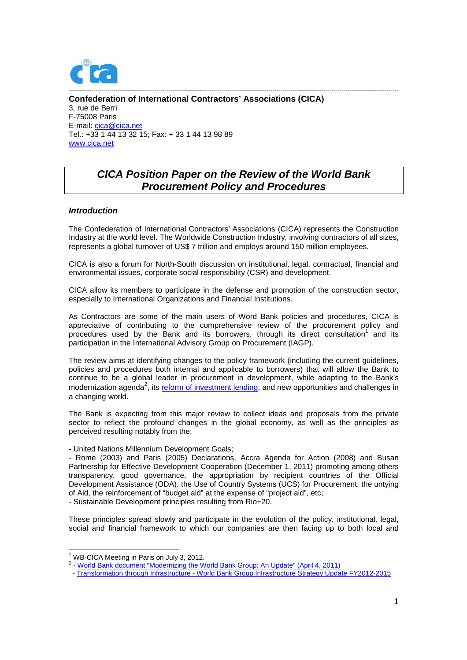

**Confederation of International Contractors' Associations (CICA)**  3, rue de Berri F-75008 Paris E-mail: cica@cica.net Tel.: +33 1 44 13 32 15; Fax: + 33 1 44 13 98 89 www.cica.net

# **CICA Position Paper on the Review of the World Bank Procurement Policy and Procedures**

------------------------------------------------------------------------------------------------------------------------------------------------------------------

## **Introduction**

The Confederation of International Contractors' Associations (CICA) represents the Construction Industry at the world level. The Worldwide Construction Industry, involving contractors of all sizes, represents a global turnover of US\$ 7 trillion and employs around 150 million employees.

CICA is also a forum for North-South discussion on institutional, legal, contractual, financial and environmental issues, corporate social responsibility (CSR) and development.

CICA allow its members to participate in the defense and promotion of the construction sector, especially to International Organizations and Financial Institutions.

As Contractors are some of the main users of Word Bank policies and procedures, CICA is appreciative of contributing to the comprehensive review of the procurement policy and procedures used by the Bank and its borrowers, through its direct consultation<sup>1</sup> and its participation in the International Advisory Group on Procurement (IAGP).

The review aims at identifying changes to the policy framework (including the current guidelines, policies and procedures both internal and applicable to borrowers) that will allow the Bank to continue to be a global leader in procurement in development, while adapting to the Bank's modernization agenda<sup>2</sup>, its reform of investment lending, and new opportunities and challenges in a changing world.

The Bank is expecting from this major review to collect ideas and proposals from the private sector to reflect the profound changes in the global economy, as well as the principles as perceived resulting notably from the:

- United Nations Millennium Development Goals;

- Rome (2003) and Paris (2005) Declarations, Accra Agenda for Action (2008) and Busan Partnership for Effective Development Cooperation (December 1, 2011) promoting among others transparency, good governance, the appropriation by recipient countries of the Official Development Assistance (ODA), the Use of Country Systems (UCS) for Procurement, the untying of Aid, the reinforcement of "budget aid" at the expense of "project aid", etc;

- Sustainable Development principles resulting from Rio+20.

These principles spread slowly and participate in the evolution of the policy, institutional, legal, social and financial framework to which our companies are then facing up to both local and

1

<sup>&</sup>lt;sup>1</sup> WB-CICA Meeting in Paris on July 3, 2012.

<sup>&</sup>lt;sup>2</sup> - World Bank document "Modernizing the World Bank Group: An Update" (April 4, 2011)

 <sup>-</sup> Transformation through Infrastructure - World Bank Group Infrastructure Strategy Update FY2012-2015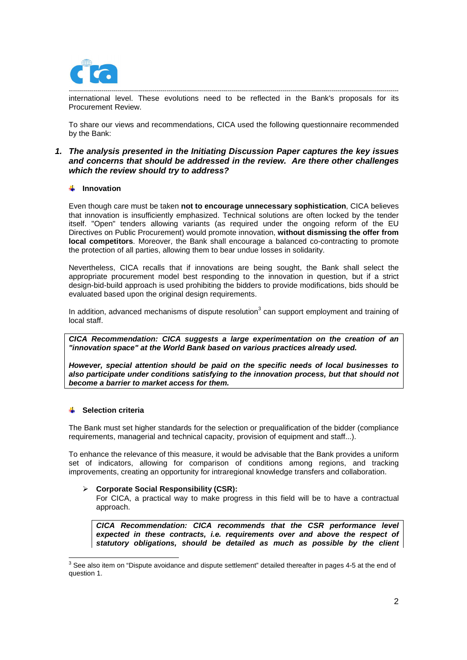

----------------------------------------------------------------------------------------------------------------------------------------------------------------- international level. These evolutions need to be reflected in the Bank's proposals for its Procurement Review.

To share our views and recommendations, CICA used the following questionnaire recommended by the Bank:

## **1. The analysis presented in the Initiating Discussion Paper captures the key issues and concerns that should be addressed in the review. Are there other challenges which the review should try to address?**

## $\frac{1}{2}$  Innovation

Even though care must be taken **not to encourage unnecessary sophistication**, CICA believes that innovation is insufficiently emphasized. Technical solutions are often locked by the tender itself. "Open" tenders allowing variants (as required under the ongoing reform of the EU Directives on Public Procurement) would promote innovation, **without dismissing the offer from local competitors**. Moreover, the Bank shall encourage a balanced co-contracting to promote the protection of all parties, allowing them to bear undue losses in solidarity.

Nevertheless, CICA recalls that if innovations are being sought, the Bank shall select the appropriate procurement model best responding to the innovation in question, but if a strict design-bid-build approach is used prohibiting the bidders to provide modifications, bids should be evaluated based upon the original design requirements.

In addition, advanced mechanisms of dispute resolution $3$  can support employment and training of local staff.

**CICA Recommendation: CICA suggests a large experimentation on the creation of an "innovation space" at the World Bank based on various practices already used.** 

**However, special attention should be paid on the specific needs of local businesses to also participate under conditions satisfying to the innovation process, but that should not become a barrier to market access for them.** 

### **Selection criteria**

The Bank must set higher standards for the selection or prequalification of the bidder (compliance requirements, managerial and technical capacity, provision of equipment and staff...).

To enhance the relevance of this measure, it would be advisable that the Bank provides a uniform set of indicators, allowing for comparison of conditions among regions, and tracking improvements, creating an opportunity for intraregional knowledge transfers and collaboration.

#### **Corporate Social Responsibility (CSR):**

For CICA, a practical way to make progress in this field will be to have a contractual approach.

**CICA Recommendation: CICA recommends that the CSR performance level expected in these contracts, i.e. requirements over and above the respect of statutory obligations, should be detailed as much as possible by the client** 

 3 See also item on "Dispute avoidance and dispute settlement" detailed thereafter in pages 4-5 at the end of question 1.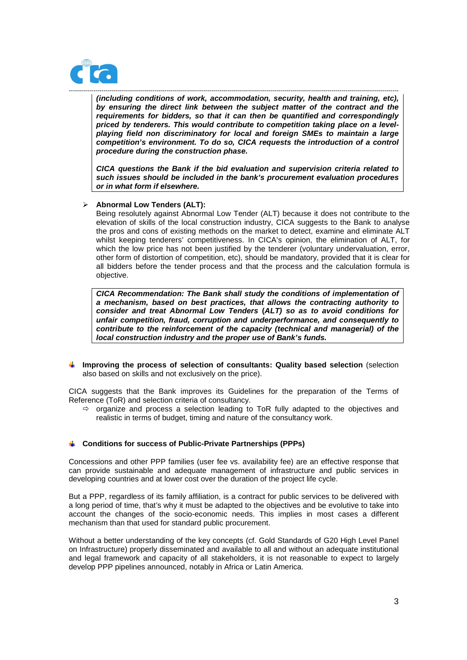

------------------------------------------------------------------------------------------------------------------------------------------------------------------ **(including conditions of work, accommodation, security, health and training, etc), by ensuring the direct link between the subject matter of the contract and the requirements for bidders, so that it can then be quantified and correspondingly priced by tenderers. This would contribute to competition taking place on a levelplaying field non discriminatory for local and foreign SMEs to maintain a large competition's environment. To do so, CICA requests the introduction of a control procedure during the construction phase.** 

**CICA questions the Bank if the bid evaluation and supervision criteria related to such issues should be included in the bank's procurement evaluation procedures or in what form if elsewhere.**

#### **Abnormal Low Tenders (ALT):**

Being resolutely against Abnormal Low Tender (ALT) because it does not contribute to the elevation of skills of the local construction industry, CICA suggests to the Bank to analyse the pros and cons of existing methods on the market to detect, examine and eliminate ALT whilst keeping tenderers' competitiveness. In CICA's opinion, the elimination of ALT, for which the low price has not been justified by the tenderer (voluntary undervaluation, error, other form of distortion of competition, etc), should be mandatory, provided that it is clear for all bidders before the tender process and that the process and the calculation formula is objective.

**CICA Recommendation: The Bank shall study the conditions of implementation of a mechanism, based on best practices, that allows the contracting authority to consider and treat Abnormal Low Tenders (ALT) so as to avoid conditions for unfair competition, fraud, corruption and underperformance, and consequently to contribute to the reinforcement of the capacity (technical and managerial) of the local construction industry and the proper use of Bank's funds.** 

**Improving the process of selection of consultants: Quality based selection** (selection also based on skills and not exclusively on the price).

CICA suggests that the Bank improves its Guidelines for the preparation of the Terms of Reference (ToR) and selection criteria of consultancy.

 $\Rightarrow$  organize and process a selection leading to ToR fully adapted to the objectives and realistic in terms of budget, timing and nature of the consultancy work.

#### **Conditions for success of Public-Private Partnerships (PPPs)**

Concessions and other PPP families (user fee vs. availability fee) are an effective response that can provide sustainable and adequate management of infrastructure and public services in developing countries and at lower cost over the duration of the project life cycle.

But a PPP, regardless of its family affiliation, is a contract for public services to be delivered with a long period of time, that's why it must be adapted to the objectives and be evolutive to take into account the changes of the socio-economic needs. This implies in most cases a different mechanism than that used for standard public procurement.

Without a better understanding of the key concepts (cf. Gold Standards of G20 High Level Panel on Infrastructure) properly disseminated and available to all and without an adequate institutional and legal framework and capacity of all stakeholders, it is not reasonable to expect to largely develop PPP pipelines announced, notably in Africa or Latin America.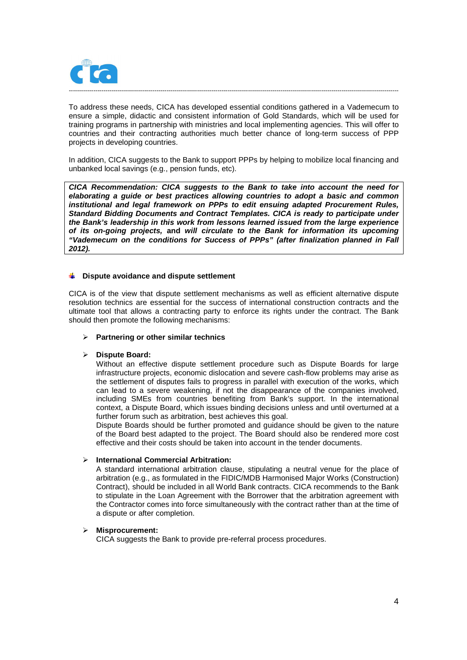

To address these needs, CICA has developed essential conditions gathered in a Vademecum to ensure a simple, didactic and consistent information of Gold Standards, which will be used for training programs in partnership with ministries and local implementing agencies. This will offer to countries and their contracting authorities much better chance of long-term success of PPP projects in developing countries.

In addition, CICA suggests to the Bank to support PPPs by helping to mobilize local financing and unbanked local savings (e.g., pension funds, etc).

**CICA Recommendation: CICA suggests to the Bank to take into account the need for elaborating a guide or best practices allowing countries to adopt a basic and common institutional and legal framework on PPPs to edit ensuing adapted Procurement Rules, Standard Bidding Documents and Contract Templates. CICA is ready to participate under the Bank's leadership in this work from lessons learned issued from the large experience of its on-going projects, and will circulate to the Bank for information its upcoming "Vademecum on the conditions for Success of PPPs" (after finalization planned in Fall 2012).** 

#### **Dispute avoidance and dispute settlement**

CICA is of the view that dispute settlement mechanisms as well as efficient alternative dispute resolution technics are essential for the success of international construction contracts and the ultimate tool that allows a contracting party to enforce its rights under the contract. The Bank should then promote the following mechanisms:

#### **Partnering or other similar technics**

#### **Dispute Board:**

Without an effective dispute settlement procedure such as Dispute Boards for large infrastructure projects, economic dislocation and severe cash-flow problems may arise as the settlement of disputes fails to progress in parallel with execution of the works, which can lead to a severe weakening, if not the disappearance of the companies involved, including SMEs from countries benefiting from Bank's support. In the international context, a Dispute Board, which issues binding decisions unless and until overturned at a further forum such as arbitration, best achieves this goal.

Dispute Boards should be further promoted and guidance should be given to the nature of the Board best adapted to the project. The Board should also be rendered more cost effective and their costs should be taken into account in the tender documents.

#### **International Commercial Arbitration:**

A standard international arbitration clause, stipulating a neutral venue for the place of arbitration (e.g., as formulated in the FIDIC/MDB Harmonised Major Works (Construction) Contract), should be included in all World Bank contracts. CICA recommends to the Bank to stipulate in the Loan Agreement with the Borrower that the arbitration agreement with the Contractor comes into force simultaneously with the contract rather than at the time of a dispute or after completion.

#### **Misprocurement:**

CICA suggests the Bank to provide pre-referral process procedures.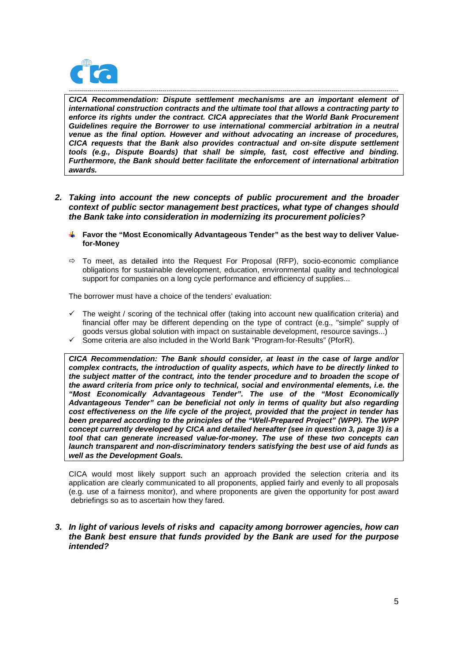

------------------------------------------------------------------------------------------------------------------------------------------------------------------ **CICA Recommendation: Dispute settlement mechanisms are an important element of international construction contracts and the ultimate tool that allows a contracting party to enforce its rights under the contract. CICA appreciates that the World Bank Procurement Guidelines require the Borrower to use international commercial arbitration in a neutral venue as the final option. However and without advocating an increase of procedures, CICA requests that the Bank also provides contractual and on-site dispute settlement tools (e.g., Dispute Boards) that shall be simple, fast, cost effective and binding. Furthermore, the Bank should better facilitate the enforcement of international arbitration awards.** 

- **2. Taking into account the new concepts of public procurement and the broader context of public sector management best practices, what type of changes should the Bank take into consideration in modernizing its procurement policies?** 
	- **Favor the "Most Economically Advantageous Tender" as the best way to deliver Valuefor-Money**
	- $\Rightarrow$  To meet, as detailed into the Request For Proposal (RFP), socio-economic compliance obligations for sustainable development, education, environmental quality and technological support for companies on a long cycle performance and efficiency of supplies...

The borrower must have a choice of the tenders' evaluation:

- $\checkmark$  The weight / scoring of the technical offer (taking into account new qualification criteria) and financial offer may be different depending on the type of contract (e.g., "simple" supply of goods versus global solution with impact on sustainable development, resource savings...)
- $\checkmark$  Some criteria are also included in the World Bank "Program-for-Results" (PforR).

**CICA Recommendation: The Bank should consider, at least in the case of large and/or complex contracts, the introduction of quality aspects, which have to be directly linked to the subject matter of the contract, into the tender procedure and to broaden the scope of the award criteria from price only to technical, social and environmental elements, i.e. the "Most Economically Advantageous Tender". The use of the "Most Economically Advantageous Tender" can be beneficial not only in terms of quality but also regarding cost effectiveness on the life cycle of the project, provided that the project in tender has been prepared according to the principles of the "Well-Prepared Project" (WPP). The WPP concept currently developed by CICA and detailed hereafter (see in question 3, page 3) is a tool that can generate increased value-for-money. The use of these two concepts can launch transparent and non-discriminatory tenders satisfying the best use of aid funds as well as the Development Goals.** 

CICA would most likely support such an approach provided the selection criteria and its application are clearly communicated to all proponents, applied fairly and evenly to all proposals (e.g. use of a fairness monitor), and where proponents are given the opportunity for post award debriefings so as to ascertain how they fared.

## **3. In light of various levels of risks and capacity among borrower agencies, how can the Bank best ensure that funds provided by the Bank are used for the purpose intended?**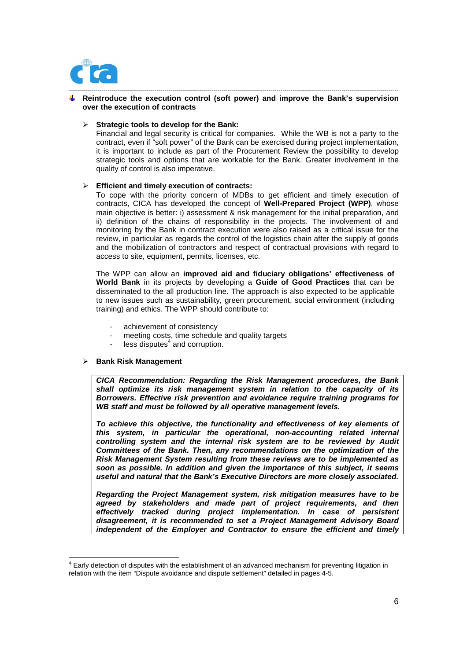

#### ------------------------------------------------------------------------------------------------------------------------------------------------------------------ **Reintroduce the execution control (soft power) and improve the Bank's supervision over the execution of contracts**

### **Strategic tools to develop for the Bank:**

Financial and legal security is critical for companies. While the WB is not a party to the contract, even if "soft power" of the Bank can be exercised during project implementation, it is important to include as part of the Procurement Review the possibility to develop strategic tools and options that are workable for the Bank. Greater involvement in the quality of control is also imperative.

#### **Efficient and timely execution of contracts:**

To cope with the priority concern of MDBs to get efficient and timely execution of contracts, CICA has developed the concept of **Well-Prepared Project (WPP)**, whose main objective is better: i) assessment & risk management for the initial preparation, and ii) definition of the chains of responsibility in the projects. The involvement of and monitoring by the Bank in contract execution were also raised as a critical issue for the review, in particular as regards the control of the logistics chain after the supply of goods and the mobilization of contractors and respect of contractual provisions with regard to access to site, equipment, permits, licenses, etc.

The WPP can allow an **improved aid and fiduciary obligations' effectiveness of World Bank** in its projects by developing a **Guide of Good Practices** that can be disseminated to the all production line. The approach is also expected to be applicable to new issues such as sustainability, green procurement, social environment (including training) and ethics. The WPP should contribute to:

- achievement of consistency
- meeting costs, time schedule and quality targets
- less disputes $4$  and corruption.

#### **Bank Risk Management**

1

**CICA Recommendation: Regarding the Risk Management procedures, the Bank shall optimize its risk management system in relation to the capacity of its Borrowers. Effective risk prevention and avoidance require training programs for WB staff and must be followed by all operative management levels.** 

**To achieve this objective, the functionality and effectiveness of key elements of this system, in particular the operational, non-accounting related internal controlling system and the internal risk system are to be reviewed by Audit Committees of the Bank. Then, any recommendations on the optimization of the Risk Management System resulting from these reviews are to be implemented as soon as possible. In addition and given the importance of this subject, it seems useful and natural that the Bank's Executive Directors are more closely associated.** 

**Regarding the Project Management system, risk mitigation measures have to be agreed by stakeholders and made part of project requirements, and then effectively tracked during project implementation. In case of persistent disagreement, it is recommended to set a Project Management Advisory Board independent of the Employer and Contractor to ensure the efficient and timely** 

<sup>&</sup>lt;sup>4</sup> Early detection of disputes with the establishment of an advanced mechanism for preventing litigation in relation with the item "Dispute avoidance and dispute settlement" detailed in pages 4-5.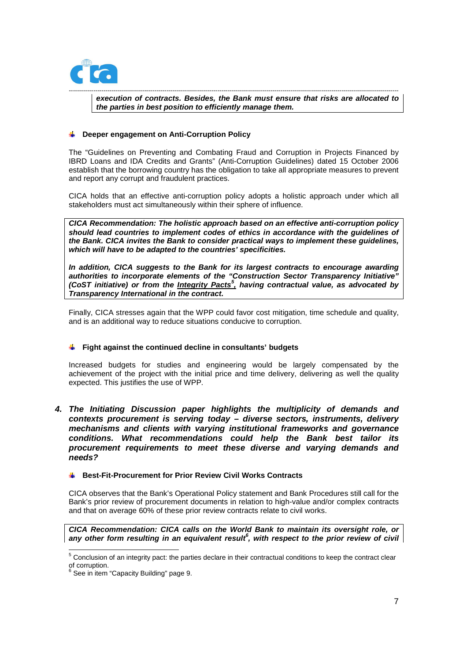

----------------------------------------------------------------------------------------------------------------------------------------------------------------- **execution of contracts. Besides, the Bank must ensure that risks are allocated to the parties in best position to efficiently manage them.** 

### **Deeper engagement on Anti-Corruption Policy**

The "Guidelines on Preventing and Combating Fraud and Corruption in Projects Financed by IBRD Loans and IDA Credits and Grants" (Anti-Corruption Guidelines) dated 15 October 2006 establish that the borrowing country has the obligation to take all appropriate measures to prevent and report any corrupt and fraudulent practices.

CICA holds that an effective anti-corruption policy adopts a holistic approach under which all stakeholders must act simultaneously within their sphere of influence.

**CICA Recommendation: The holistic approach based on an effective anti-corruption policy should lead countries to implement codes of ethics in accordance with the guidelines of the Bank. CICA invites the Bank to consider practical ways to implement these guidelines, which will have to be adapted to the countries' specificities.**

**In addition, CICA suggests to the Bank for its largest contracts to encourage awarding authorities to incorporate elements of the "Construction Sector Transparency Initiative" (CoST initiative) or from the Integrity Pacts<sup>5</sup> , having contractual value, as advocated by Transparency International in the contract.** 

Finally, CICA stresses again that the WPP could favor cost mitigation, time schedule and quality, and is an additional way to reduce situations conducive to corruption.

#### **Fight against the continued decline in consultants' budgets**

Increased budgets for studies and engineering would be largely compensated by the achievement of the project with the initial price and time delivery, delivering as well the quality expected. This justifies the use of WPP.

**4. The Initiating Discussion paper highlights the multiplicity of demands and contexts procurement is serving today – diverse sectors, instruments, delivery mechanisms and clients with varying institutional frameworks and governance conditions. What recommendations could help the Bank best tailor its procurement requirements to meet these diverse and varying demands and needs?**

#### **Best-Fit-Procurement for Prior Review Civil Works Contracts**

CICA observes that the Bank's Operational Policy statement and Bank Procedures still call for the Bank's prior review of procurement documents in relation to high-value and/or complex contracts and that on average 60% of these prior review contracts relate to civil works.

**CICA Recommendation: CICA calls on the World Bank to maintain its oversight role, or any other form resulting in an equivalent result<sup>6</sup> , with respect to the prior review of civil** 

 5 Conclusion of an integrity pact: the parties declare in their contractual conditions to keep the contract clear of corruption.<br><sup>6</sup> See in item i

 $^{\circ}$  See in item "Capacity Building" page 9.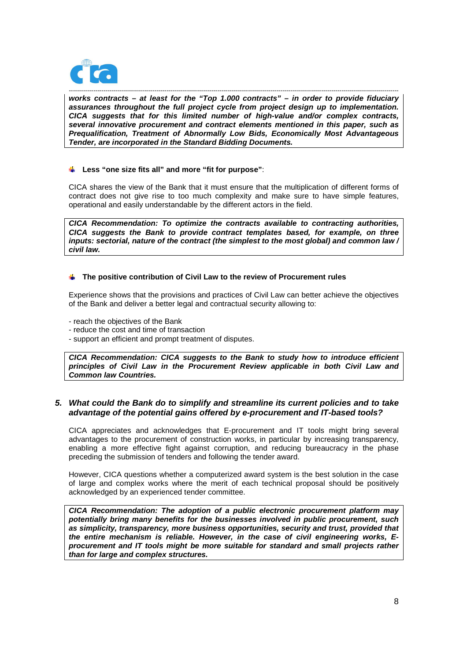

----------------------------------------------------------------------------------------------------------------------------------------------------------------- **works contracts – at least for the "Top 1.000 contracts" – in order to provide fiduciary assurances throughout the full project cycle from project design up to implementation. CICA suggests that for this limited number of high-value and/or complex contracts, several innovative procurement and contract elements mentioned in this paper, such as Prequalification, Treatment of Abnormally Low Bids, Economically Most Advantageous Tender, are incorporated in the Standard Bidding Documents.**

## **Less "one size fits all" and more "fit for purpose"**:

CICA shares the view of the Bank that it must ensure that the multiplication of different forms of contract does not give rise to too much complexity and make sure to have simple features, operational and easily understandable by the different actors in the field.

**CICA Recommendation: To optimize the contracts available to contracting authorities, CICA suggests the Bank to provide contract templates based, for example, on three inputs: sectorial, nature of the contract (the simplest to the most global) and common law / civil law.** 

## **The positive contribution of Civil Law to the review of Procurement rules**

Experience shows that the provisions and practices of Civil Law can better achieve the objectives of the Bank and deliver a better legal and contractual security allowing to:

- reach the objectives of the Bank
- reduce the cost and time of transaction
- support an efficient and prompt treatment of disputes.

**CICA Recommendation: CICA suggests to the Bank to study how to introduce efficient principles of Civil Law in the Procurement Review applicable in both Civil Law and Common law Countries.** 

## **5. What could the Bank do to simplify and streamline its current policies and to take advantage of the potential gains offered by e-procurement and IT-based tools?**

CICA appreciates and acknowledges that E-procurement and IT tools might bring several advantages to the procurement of construction works, in particular by increasing transparency, enabling a more effective fight against corruption, and reducing bureaucracy in the phase preceding the submission of tenders and following the tender award.

However, CICA questions whether a computerized award system is the best solution in the case of large and complex works where the merit of each technical proposal should be positively acknowledged by an experienced tender committee.

**CICA Recommendation: The adoption of a public electronic procurement platform may potentially bring many benefits for the businesses involved in public procurement, such as simplicity, transparency, more business opportunities, security and trust, provided that the entire mechanism is reliable. However, in the case of civil engineering works, Eprocurement and IT tools might be more suitable for standard and small projects rather than for large and complex structures.**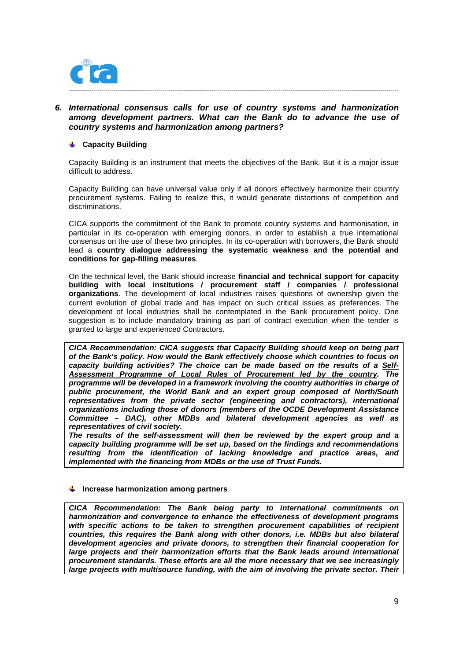

## **6. International consensus calls for use of country systems and harmonization among development partners. What can the Bank do to advance the use of country systems and harmonization among partners?**

## **Capacity Building**

Capacity Building is an instrument that meets the objectives of the Bank. But it is a major issue difficult to address.

Capacity Building can have universal value only if all donors effectively harmonize their country procurement systems. Failing to realize this, it would generate distortions of competition and discriminations.

CICA supports the commitment of the Bank to promote country systems and harmonisation, in particular in its co-operation with emerging donors, in order to establish a true international consensus on the use of these two principles. In its co-operation with borrowers, the Bank should lead a **country dialogue addressing the systematic weakness and the potential and conditions for gap-filling measures**.

On the technical level, the Bank should increase **financial and technical support for capacity building with local institutions / procurement staff / companies / professional organizations**. The development of local industries raises questions of ownership given the current evolution of global trade and has impact on such critical issues as preferences. The development of local industries shall be contemplated in the Bank procurement policy. One suggestion is to include mandatory training as part of contract execution when the tender is granted to large and experienced Contractors.

**CICA Recommendation: CICA suggests that Capacity Building should keep on being part of the Bank's policy. How would the Bank effectively choose which countries to focus on capacity building activities? The choice can be made based on the results of a Self-Assessment Programme of Local Rules of Procurement led by the country. The programme will be developed in a framework involving the country authorities in charge of public procurement, the World Bank and an expert group composed of North/South representatives from the private sector (engineering and contractors), international organizations including those of donors (members of the OCDE Development Assistance Committee – DAC), other MDBs and bilateral development agencies as well as representatives of civil society.** 

**The results of the self-assessment will then be reviewed by the expert group and a capacity building programme will be set up, based on the findings and recommendations resulting from the identification of lacking knowledge and practice areas, and implemented with the financing from MDBs or the use of Trust Funds.** 

#### **Increase harmonization among partners**

**CICA Recommendation: The Bank being party to international commitments on harmonization and convergence to enhance the effectiveness of development programs with specific actions to be taken to strengthen procurement capabilities of recipient countries, this requires the Bank along with other donors, i.e. MDBs but also bilateral development agencies and private donors, to strengthen their financial cooperation for large projects and their harmonization efforts that the Bank leads around international procurement standards. These efforts are all the more necessary that we see increasingly large projects with multisource funding, with the aim of involving the private sector. Their**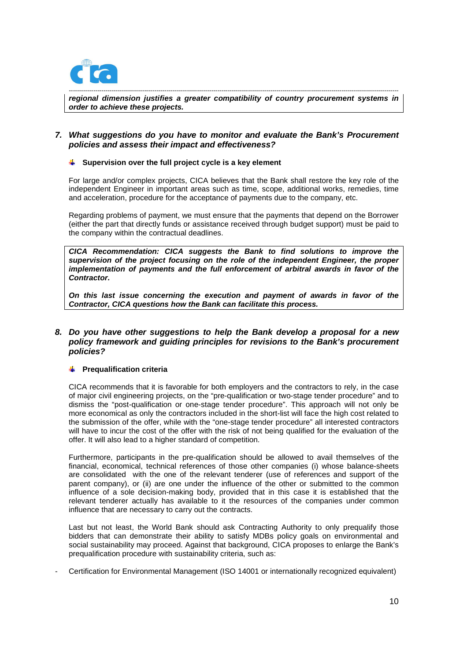

----------------------------------------------------------------------------------------------------------------------------------------------------------------- **regional dimension justifies a greater compatibility of country procurement systems in order to achieve these projects.** 

## **7. What suggestions do you have to monitor and evaluate the Bank's Procurement policies and assess their impact and effectiveness?**

### **Supervision over the full project cycle is a key element**

For large and/or complex projects, CICA believes that the Bank shall restore the key role of the independent Engineer in important areas such as time, scope, additional works, remedies, time and acceleration, procedure for the acceptance of payments due to the company, etc.

Regarding problems of payment, we must ensure that the payments that depend on the Borrower (either the part that directly funds or assistance received through budget support) must be paid to the company within the contractual deadlines.

**CICA Recommendation: CICA suggests the Bank to find solutions to improve the supervision of the project focusing on the role of the independent Engineer, the proper implementation of payments and the full enforcement of arbitral awards in favor of the Contractor.** 

**On this last issue concerning the execution and payment of awards in favor of the Contractor, CICA questions how the Bank can facilitate this process.** 

## **8. Do you have other suggestions to help the Bank develop a proposal for a new policy framework and guiding principles for revisions to the Bank's procurement policies?**

## **Prequalification criteria**

CICA recommends that it is favorable for both employers and the contractors to rely, in the case of major civil engineering projects, on the "pre-qualification or two-stage tender procedure" and to dismiss the "post-qualification or one-stage tender procedure". This approach will not only be more economical as only the contractors included in the short-list will face the high cost related to the submission of the offer, while with the "one-stage tender procedure" all interested contractors will have to incur the cost of the offer with the risk of not being qualified for the evaluation of the offer. It will also lead to a higher standard of competition.

Furthermore, participants in the pre-qualification should be allowed to avail themselves of the financial, economical, technical references of those other companies (i) whose balance-sheets are consolidated with the one of the relevant tenderer (use of references and support of the parent company), or (ii) are one under the influence of the other or submitted to the common influence of a sole decision-making body, provided that in this case it is established that the relevant tenderer actually has available to it the resources of the companies under common influence that are necessary to carry out the contracts.

Last but not least, the World Bank should ask Contracting Authority to only prequalify those bidders that can demonstrate their ability to satisfy MDBs policy goals on environmental and social sustainability may proceed. Against that background, CICA proposes to enlarge the Bank's prequalification procedure with sustainability criteria, such as:

- Certification for Environmental Management (ISO 14001 or internationally recognized equivalent)